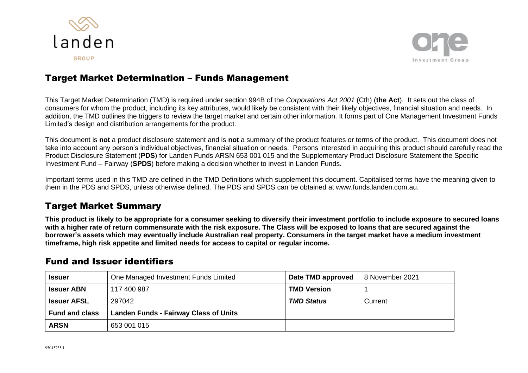



# Target Market Determination – Funds Management

This Target Market Determination (TMD) is required under section 994B of the *Corporations Act 2001* (Cth) (**the Act**). It sets out the class of consumers for whom the product, including its key attributes, would likely be consistent with their likely objectives, financial situation and needs. In addition, the TMD outlines the triggers to review the target market and certain other information. It forms part of One Management Investment Funds Limited's design and distribution arrangements for the product.

This document is **not** a product disclosure statement and is **not** a summary of the product features or terms of the product. This document does not take into account any person's individual objectives, financial situation or needs. Persons interested in acquiring this product should carefully read the Product Disclosure Statement (**PDS**) for Landen Funds ARSN 653 001 015 and the Supplementary Product Disclosure Statement the Specific Investment Fund – Fairway (**SPDS**) before making a decision whether to invest in Landen Funds.

Important terms used in this TMD are defined in the TMD Definitions which supplement this document. Capitalised terms have the meaning given to them in the PDS and SPDS, unless otherwise defined. The PDS and SPDS can be obtained at www.funds.landen.com.au.

# Target Market Summary

**This product is likely to be appropriate for a consumer seeking to diversify their investment portfolio to include exposure to secured loans with a higher rate of return commensurate with the risk exposure. The Class will be exposed to loans that are secured against the borrower's assets which may eventually include Australian real property. Consumers in the target market have a medium investment timeframe, high risk appetite and limited needs for access to capital or regular income.**

# Fund and Issuer identifiers

| <b>Issuer</b>                                                         | One Managed Investment Funds Limited | Date TMD approved  | 8 November 2021 |
|-----------------------------------------------------------------------|--------------------------------------|--------------------|-----------------|
| <b>Issuer ABN</b>                                                     | 117 400 987                          | <b>TMD Version</b> |                 |
| <b>Issuer AFSL</b>                                                    | 297042                               | <b>TMD Status</b>  | Current         |
| <b>Fund and class</b><br><b>Landen Funds - Fairway Class of Units</b> |                                      |                    |                 |
| <b>ARSN</b>                                                           | 653 001 015                          |                    |                 |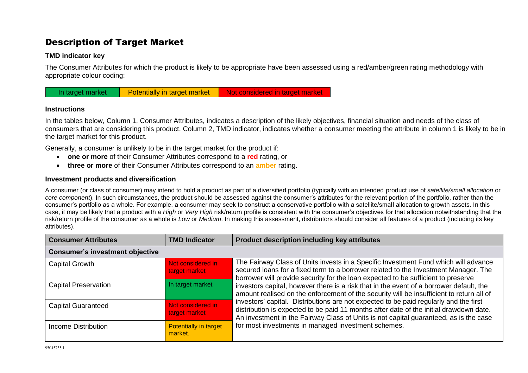# Description of Target Market

### **TMD indicator key**

The Consumer Attributes for which the product is likely to be appropriate have been assessed using a red/amber/green rating methodology with appropriate colour coding:



#### **Instructions**

In the tables below, Column 1, Consumer Attributes, indicates a description of the likely objectives, financial situation and needs of the class of consumers that are considering this product. Column 2, TMD indicator, indicates whether a consumer meeting the attribute in column 1 is likely to be in the target market for this product.

Generally, a consumer is unlikely to be in the target market for the product if:

- **one or more** of their Consumer Attributes correspond to a **red** rating, or
- **three or more** of their Consumer Attributes correspond to an **amber** rating.

### **Investment products and diversification**

A consumer (or class of consumer) may intend to hold a product as part of a diversified portfolio (typically with an intended product use of *satellite/small allocation* or *core component*). In such circumstances, the product should be assessed against the consumer's attributes for the relevant portion of the portfolio, rather than the consumer's portfolio as a whole. For example, a consumer may seek to construct a conservative portfolio with a satellite/small allocation to growth assets. In this case, it may be likely that a product with a *High* or *Very High* risk/return profile is consistent with the consumer's objectives for that allocation notwithstanding that the risk/return profile of the consumer as a whole is *Low* or *Medium*. In making this assessment, distributors should consider all features of a product (including its key attributes).

| <b>Consumer Attributes</b>             | <b>TMD Indicator</b>                    | Product description including key attributes                                                                                                                                                                                                                                                                                                                                                                                                                                                                                                                                                                                                                                                                                                                                              |
|----------------------------------------|-----------------------------------------|-------------------------------------------------------------------------------------------------------------------------------------------------------------------------------------------------------------------------------------------------------------------------------------------------------------------------------------------------------------------------------------------------------------------------------------------------------------------------------------------------------------------------------------------------------------------------------------------------------------------------------------------------------------------------------------------------------------------------------------------------------------------------------------------|
| <b>Consumer's investment objective</b> |                                         |                                                                                                                                                                                                                                                                                                                                                                                                                                                                                                                                                                                                                                                                                                                                                                                           |
| <b>Capital Growth</b>                  | Not considered in<br>target market      | The Fairway Class of Units invests in a Specific Investment Fund which will advance<br>secured loans for a fixed term to a borrower related to the Investment Manager. The<br>borrower will provide security for the loan expected to be sufficient to preserve<br>investors capital, however there is a risk that in the event of a borrower default, the<br>amount realised on the enforcement of the security will be insufficient to return all of<br>investors' capital. Distributions are not expected to be paid regularly and the first<br>distribution is expected to be paid 11 months after date of the initial drawdown date.<br>An investment in the Fairway Class of Units is not capital guaranteed, as is the case<br>for most investments in managed investment schemes. |
| <b>Capital Preservation</b>            | In target market                        |                                                                                                                                                                                                                                                                                                                                                                                                                                                                                                                                                                                                                                                                                                                                                                                           |
| <b>Capital Guaranteed</b>              | Not considered in<br>target market      |                                                                                                                                                                                                                                                                                                                                                                                                                                                                                                                                                                                                                                                                                                                                                                                           |
| Income Distribution                    | <b>Potentially in target</b><br>market. |                                                                                                                                                                                                                                                                                                                                                                                                                                                                                                                                                                                                                                                                                                                                                                                           |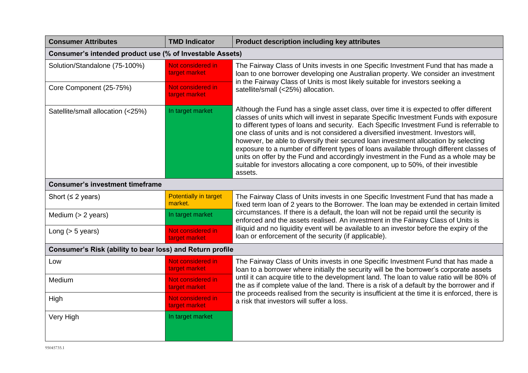| <b>Consumer Attributes</b>                                | <b>TMD Indicator</b>                    | Product description including key attributes                                                                                                                                                                                                                                                                                                                                                                                                                                                                                                                                                                                                                                                                                                  |  |
|-----------------------------------------------------------|-----------------------------------------|-----------------------------------------------------------------------------------------------------------------------------------------------------------------------------------------------------------------------------------------------------------------------------------------------------------------------------------------------------------------------------------------------------------------------------------------------------------------------------------------------------------------------------------------------------------------------------------------------------------------------------------------------------------------------------------------------------------------------------------------------|--|
| Consumer's intended product use (% of Investable Assets)  |                                         |                                                                                                                                                                                                                                                                                                                                                                                                                                                                                                                                                                                                                                                                                                                                               |  |
| Solution/Standalone (75-100%)                             | Not considered in<br>target market      | The Fairway Class of Units invests in one Specific Investment Fund that has made a<br>loan to one borrower developing one Australian property. We consider an investment                                                                                                                                                                                                                                                                                                                                                                                                                                                                                                                                                                      |  |
| Core Component (25-75%)                                   | Not considered in<br>target market      | in the Fairway Class of Units is most likely suitable for investors seeking a<br>satellite/small (<25%) allocation.                                                                                                                                                                                                                                                                                                                                                                                                                                                                                                                                                                                                                           |  |
| Satellite/small allocation (<25%)                         | In target market                        | Although the Fund has a single asset class, over time it is expected to offer different<br>classes of units which will invest in separate Specific Investment Funds with exposure<br>to different types of loans and security. Each Specific Investment Fund is referrable to<br>one class of units and is not considered a diversified investment. Investors will,<br>however, be able to diversify their secured loan investment allocation by selecting<br>exposure to a number of different types of loans available through different classes of<br>units on offer by the Fund and accordingly investment in the Fund as a whole may be<br>suitable for investors allocating a core component, up to 50%, of their investible<br>assets. |  |
| <b>Consumer's investment timeframe</b>                    |                                         |                                                                                                                                                                                                                                                                                                                                                                                                                                                                                                                                                                                                                                                                                                                                               |  |
| Short ( $\leq$ 2 years)                                   | <b>Potentially in target</b><br>market. | The Fairway Class of Units invests in one Specific Investment Fund that has made a<br>fixed term loan of 2 years to the Borrower. The loan may be extended in certain limited                                                                                                                                                                                                                                                                                                                                                                                                                                                                                                                                                                 |  |
| Medium (> 2 years)                                        | In target market                        | circumstances. If there is a default, the loan will not be repaid until the security is<br>enforced and the assets realised. An investment in the Fairway Class of Units is                                                                                                                                                                                                                                                                                                                                                                                                                                                                                                                                                                   |  |
| Long $(> 5$ years)                                        | Not considered in<br>target market      | illiquid and no liquidity event will be available to an investor before the expiry of the<br>loan or enforcement of the security (if applicable).                                                                                                                                                                                                                                                                                                                                                                                                                                                                                                                                                                                             |  |
| Consumer's Risk (ability to bear loss) and Return profile |                                         |                                                                                                                                                                                                                                                                                                                                                                                                                                                                                                                                                                                                                                                                                                                                               |  |
| Low                                                       | Not considered in<br>target market      | The Fairway Class of Units invests in one Specific Investment Fund that has made a<br>loan to a borrower where initially the security will be the borrower's corporate assets                                                                                                                                                                                                                                                                                                                                                                                                                                                                                                                                                                 |  |
| Medium                                                    | Not considered in<br>target market      | until it can acquire title to the development land. The loan to value ratio will be 80% of<br>the as if complete value of the land. There is a risk of a default by the borrower and if                                                                                                                                                                                                                                                                                                                                                                                                                                                                                                                                                       |  |
| High                                                      | Not considered in<br>target market      | the proceeds realised from the security is insufficient at the time it is enforced, there is<br>a risk that investors will suffer a loss.                                                                                                                                                                                                                                                                                                                                                                                                                                                                                                                                                                                                     |  |
| Very High                                                 | In target market                        |                                                                                                                                                                                                                                                                                                                                                                                                                                                                                                                                                                                                                                                                                                                                               |  |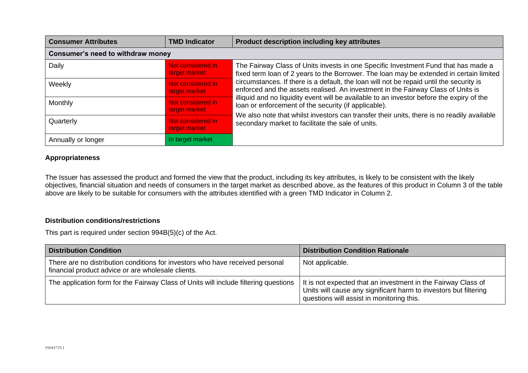| <b>Consumer Attributes</b> | <b>TMD Indicator</b>               | <b>Product description including key attributes</b>                                                                                                                                                                                                                                                                                                                                                                                                                                 |  |
|----------------------------|------------------------------------|-------------------------------------------------------------------------------------------------------------------------------------------------------------------------------------------------------------------------------------------------------------------------------------------------------------------------------------------------------------------------------------------------------------------------------------------------------------------------------------|--|
|                            | Consumer's need to withdraw money  |                                                                                                                                                                                                                                                                                                                                                                                                                                                                                     |  |
| Daily                      | Not considered in<br>target market | The Fairway Class of Units invests in one Specific Investment Fund that has made a<br>fixed term loan of 2 years to the Borrower. The loan may be extended in certain limited                                                                                                                                                                                                                                                                                                       |  |
| Weekly                     | Not considered in<br>target market | circumstances. If there is a default, the loan will not be repaid until the security is<br>enforced and the assets realised. An investment in the Fairway Class of Units is<br>illiquid and no liquidity event will be available to an investor before the expiry of the<br>loan or enforcement of the security (if applicable).<br>We also note that whilst investors can transfer their units, there is no readily available<br>secondary market to facilitate the sale of units. |  |
| Monthly                    | Not considered in<br>target market |                                                                                                                                                                                                                                                                                                                                                                                                                                                                                     |  |
| Quarterly                  | Not considered in<br>target market |                                                                                                                                                                                                                                                                                                                                                                                                                                                                                     |  |
| Annually or longer         | In target market                   |                                                                                                                                                                                                                                                                                                                                                                                                                                                                                     |  |

### **Appropriateness**

The Issuer has assessed the product and formed the view that the product, including its key attributes, is likely to be consistent with the likely objectives, financial situation and needs of consumers in the target market as described above, as the features of this product in Column 3 of the table above are likely to be suitable for consumers with the attributes identified with a green TMD Indicator in Column 2.

### **Distribution conditions/restrictions**

This part is required under section 994B(5)(c) of the Act.

| <b>Distribution Condition</b>                                                                                                       | <b>Distribution Condition Rationale</b>                                                                                                                                        |
|-------------------------------------------------------------------------------------------------------------------------------------|--------------------------------------------------------------------------------------------------------------------------------------------------------------------------------|
| There are no distribution conditions for investors who have received personal<br>financial product advice or are wholesale clients. | Not applicable.                                                                                                                                                                |
| The application form for the Fairway Class of Units will include filtering questions                                                | It is not expected that an investment in the Fairway Class of<br>Units will cause any significant harm to investors but filtering<br>questions will assist in monitoring this. |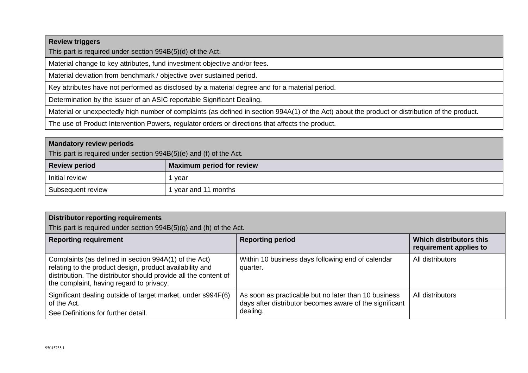## **Review triggers**

This part is required under section 994B(5)(d) of the Act.

Material change to key attributes, fund investment objective and/or fees.

Material deviation from benchmark / objective over sustained period.

Key attributes have not performed as disclosed by a material degree and for a material period.

Determination by the issuer of an ASIC reportable Significant Dealing.

Material or unexpectedly high number of complaints (as defined in section 994A(1) of the Act) about the product or distribution of the product.

The use of Product Intervention Powers, regulator orders or directions that affects the product.

| Mandatory review periods                                           |                                  |  |
|--------------------------------------------------------------------|----------------------------------|--|
| This part is required under section 994B(5)(e) and (f) of the Act. |                                  |  |
| <b>Review period</b>                                               | <b>Maximum period for review</b> |  |
| Initial review                                                     | vear                             |  |
| Subsequent review                                                  | year and 11 months               |  |

| <b>Distributor reporting requirements</b><br>This part is required under section $994B(5)(g)$ and (h) of the Act.                                                                                                                |                                                                                                                             |                                                   |  |
|----------------------------------------------------------------------------------------------------------------------------------------------------------------------------------------------------------------------------------|-----------------------------------------------------------------------------------------------------------------------------|---------------------------------------------------|--|
| <b>Reporting requirement</b>                                                                                                                                                                                                     | <b>Reporting period</b>                                                                                                     | Which distributors this<br>requirement applies to |  |
| Complaints (as defined in section 994A(1) of the Act)<br>relating to the product design, product availability and<br>distribution. The distributor should provide all the content of<br>the complaint, having regard to privacy. | Within 10 business days following end of calendar<br>quarter.                                                               | All distributors                                  |  |
| Significant dealing outside of target market, under s994F(6)<br>of the Act.<br>See Definitions for further detail.                                                                                                               | As soon as practicable but no later than 10 business<br>days after distributor becomes aware of the significant<br>dealing. | All distributors                                  |  |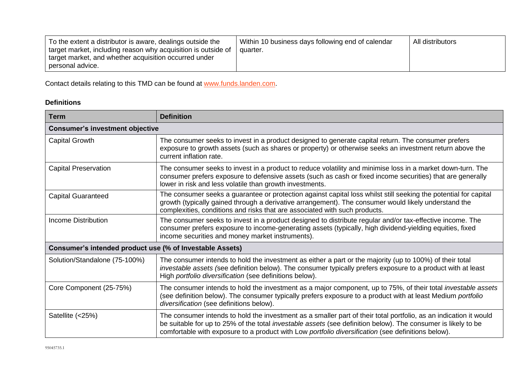| To the extent a distributor is aware, dealings outside the    | Within 10 business days following end of calendar | All distributors |
|---------------------------------------------------------------|---------------------------------------------------|------------------|
| target market, including reason why acquisition is outside of | quarter.                                          |                  |
| I target market, and whether acquisition occurred under       |                                                   |                  |
| personal advice.                                              |                                                   |                  |

Contact details relating to this TMD can be found at [www.funds.landen.com.](http://www.funds.landen.com/)

## **Definitions**

| <b>Term</b>                                              | <b>Definition</b>                                                                                                                                                                                                                                                                                                                        |  |
|----------------------------------------------------------|------------------------------------------------------------------------------------------------------------------------------------------------------------------------------------------------------------------------------------------------------------------------------------------------------------------------------------------|--|
| <b>Consumer's investment objective</b>                   |                                                                                                                                                                                                                                                                                                                                          |  |
| Capital Growth                                           | The consumer seeks to invest in a product designed to generate capital return. The consumer prefers<br>exposure to growth assets (such as shares or property) or otherwise seeks an investment return above the<br>current inflation rate.                                                                                               |  |
| <b>Capital Preservation</b>                              | The consumer seeks to invest in a product to reduce volatility and minimise loss in a market down-turn. The<br>consumer prefers exposure to defensive assets (such as cash or fixed income securities) that are generally<br>lower in risk and less volatile than growth investments.                                                    |  |
| <b>Capital Guaranteed</b>                                | The consumer seeks a guarantee or protection against capital loss whilst still seeking the potential for capital<br>growth (typically gained through a derivative arrangement). The consumer would likely understand the<br>complexities, conditions and risks that are associated with such products.                                   |  |
| Income Distribution                                      | The consumer seeks to invest in a product designed to distribute regular and/or tax-effective income. The<br>consumer prefers exposure to income-generating assets (typically, high dividend-yielding equities, fixed<br>income securities and money market instruments).                                                                |  |
| Consumer's intended product use (% of Investable Assets) |                                                                                                                                                                                                                                                                                                                                          |  |
| Solution/Standalone (75-100%)                            | The consumer intends to hold the investment as either a part or the majority (up to 100%) of their total<br>investable assets (see definition below). The consumer typically prefers exposure to a product with at least<br>High portfolio diversification (see definitions below).                                                      |  |
| Core Component (25-75%)                                  | The consumer intends to hold the investment as a major component, up to 75%, of their total <i>investable assets</i><br>(see definition below). The consumer typically prefers exposure to a product with at least Medium <i>portfolio</i><br>diversification (see definitions below).                                                   |  |
| Satellite (<25%)                                         | The consumer intends to hold the investment as a smaller part of their total portfolio, as an indication it would<br>be suitable for up to 25% of the total investable assets (see definition below). The consumer is likely to be<br>comfortable with exposure to a product with Low portfolio diversification (see definitions below). |  |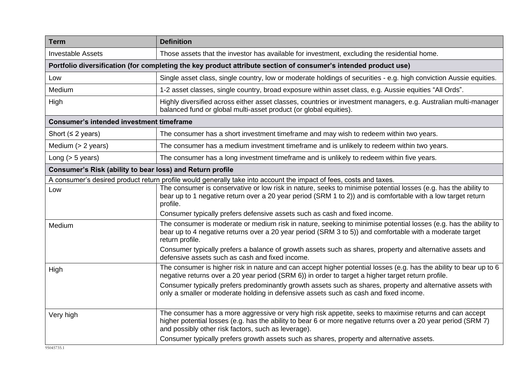| <b>Term</b>                                                      | <b>Definition</b>                                                                                                                                                                                                                                                                |
|------------------------------------------------------------------|----------------------------------------------------------------------------------------------------------------------------------------------------------------------------------------------------------------------------------------------------------------------------------|
| <b>Investable Assets</b>                                         | Those assets that the investor has available for investment, excluding the residential home.                                                                                                                                                                                     |
|                                                                  | Portfolio diversification (for completing the key product attribute section of consumer's intended product use)                                                                                                                                                                  |
| Low                                                              | Single asset class, single country, low or moderate holdings of securities - e.g. high conviction Aussie equities.                                                                                                                                                               |
| Medium                                                           | 1-2 asset classes, single country, broad exposure within asset class, e.g. Aussie equities "All Ords".                                                                                                                                                                           |
| High                                                             | Highly diversified across either asset classes, countries or investment managers, e.g. Australian multi-manager<br>balanced fund or global multi-asset product (or global equities).                                                                                             |
| <b>Consumer's intended investment timeframe</b>                  |                                                                                                                                                                                                                                                                                  |
| Short ( $\leq$ 2 years)                                          | The consumer has a short investment timeframe and may wish to redeem within two years.                                                                                                                                                                                           |
| Medium $(> 2$ years)                                             | The consumer has a medium investment timeframe and is unlikely to redeem within two years.                                                                                                                                                                                       |
| Long $(> 5$ years)                                               | The consumer has a long investment timeframe and is unlikely to redeem within five years.                                                                                                                                                                                        |
| <b>Consumer's Risk (ability to bear loss) and Return profile</b> |                                                                                                                                                                                                                                                                                  |
|                                                                  | A consumer's desired product return profile would generally take into account the impact of fees, costs and taxes.                                                                                                                                                               |
| Low                                                              | The consumer is conservative or low risk in nature, seeks to minimise potential losses (e.g. has the ability to<br>bear up to 1 negative return over a 20 year period (SRM 1 to 2)) and is comfortable with a low target return<br>profile.                                      |
|                                                                  | Consumer typically prefers defensive assets such as cash and fixed income.                                                                                                                                                                                                       |
| Medium                                                           | The consumer is moderate or medium risk in nature, seeking to minimise potential losses (e.g. has the ability to<br>bear up to 4 negative returns over a 20 year period (SRM 3 to 5)) and comfortable with a moderate target<br>return profile.                                  |
|                                                                  | Consumer typically prefers a balance of growth assets such as shares, property and alternative assets and<br>defensive assets such as cash and fixed income.                                                                                                                     |
| High                                                             | The consumer is higher risk in nature and can accept higher potential losses (e.g. has the ability to bear up to 6<br>negative returns over a 20 year period (SRM 6)) in order to target a higher target return profile.                                                         |
|                                                                  | Consumer typically prefers predominantly growth assets such as shares, property and alternative assets with<br>only a smaller or moderate holding in defensive assets such as cash and fixed income.                                                                             |
| Very high                                                        | The consumer has a more aggressive or very high risk appetite, seeks to maximise returns and can accept<br>higher potential losses (e.g. has the ability to bear 6 or more negative returns over a 20 year period (SRM 7)<br>and possibly other risk factors, such as leverage). |
|                                                                  | Consumer typically prefers growth assets such as shares, property and alternative assets.                                                                                                                                                                                        |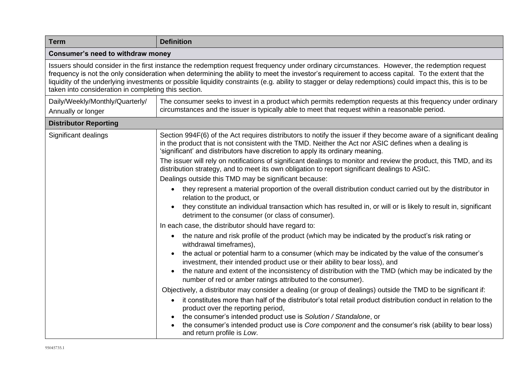| <b>Term</b>                                           | <b>Definition</b>                                                                                                                                                                                                                                                                                                                                                                                                                                              |  |
|-------------------------------------------------------|----------------------------------------------------------------------------------------------------------------------------------------------------------------------------------------------------------------------------------------------------------------------------------------------------------------------------------------------------------------------------------------------------------------------------------------------------------------|--|
| Consumer's need to withdraw money                     |                                                                                                                                                                                                                                                                                                                                                                                                                                                                |  |
| taken into consideration in completing this section.  | Issuers should consider in the first instance the redemption request frequency under ordinary circumstances. However, the redemption request<br>frequency is not the only consideration when determining the ability to meet the investor's requirement to access capital. To the extent that the<br>liquidity of the underlying investments or possible liquidity constraints (e.g. ability to stagger or delay redemptions) could impact this, this is to be |  |
| Daily/Weekly/Monthly/Quarterly/<br>Annually or longer | The consumer seeks to invest in a product which permits redemption requests at this frequency under ordinary<br>circumstances and the issuer is typically able to meet that request within a reasonable period.                                                                                                                                                                                                                                                |  |
| <b>Distributor Reporting</b>                          |                                                                                                                                                                                                                                                                                                                                                                                                                                                                |  |
| Significant dealings                                  | Section 994F(6) of the Act requires distributors to notify the issuer if they become aware of a significant dealing<br>in the product that is not consistent with the TMD. Neither the Act nor ASIC defines when a dealing is<br>'significant' and distributors have discretion to apply its ordinary meaning.                                                                                                                                                 |  |
|                                                       | The issuer will rely on notifications of significant dealings to monitor and review the product, this TMD, and its<br>distribution strategy, and to meet its own obligation to report significant dealings to ASIC.                                                                                                                                                                                                                                            |  |
|                                                       | Dealings outside this TMD may be significant because:                                                                                                                                                                                                                                                                                                                                                                                                          |  |
|                                                       | they represent a material proportion of the overall distribution conduct carried out by the distributor in<br>relation to the product, or                                                                                                                                                                                                                                                                                                                      |  |
|                                                       | they constitute an individual transaction which has resulted in, or will or is likely to result in, significant<br>$\bullet$<br>detriment to the consumer (or class of consumer).                                                                                                                                                                                                                                                                              |  |
|                                                       | In each case, the distributor should have regard to:                                                                                                                                                                                                                                                                                                                                                                                                           |  |
|                                                       | the nature and risk profile of the product (which may be indicated by the product's risk rating or<br>$\bullet$<br>withdrawal timeframes),                                                                                                                                                                                                                                                                                                                     |  |
|                                                       | the actual or potential harm to a consumer (which may be indicated by the value of the consumer's<br>investment, their intended product use or their ability to bear loss), and                                                                                                                                                                                                                                                                                |  |
|                                                       | the nature and extent of the inconsistency of distribution with the TMD (which may be indicated by the<br>$\bullet$<br>number of red or amber ratings attributed to the consumer).                                                                                                                                                                                                                                                                             |  |
|                                                       | Objectively, a distributor may consider a dealing (or group of dealings) outside the TMD to be significant if:                                                                                                                                                                                                                                                                                                                                                 |  |
|                                                       | it constitutes more than half of the distributor's total retail product distribution conduct in relation to the<br>$\bullet$<br>product over the reporting period,                                                                                                                                                                                                                                                                                             |  |
|                                                       | the consumer's intended product use is Solution / Standalone, or<br>$\bullet$<br>the consumer's intended product use is Core component and the consumer's risk (ability to bear loss)<br>and return profile is Low.                                                                                                                                                                                                                                            |  |